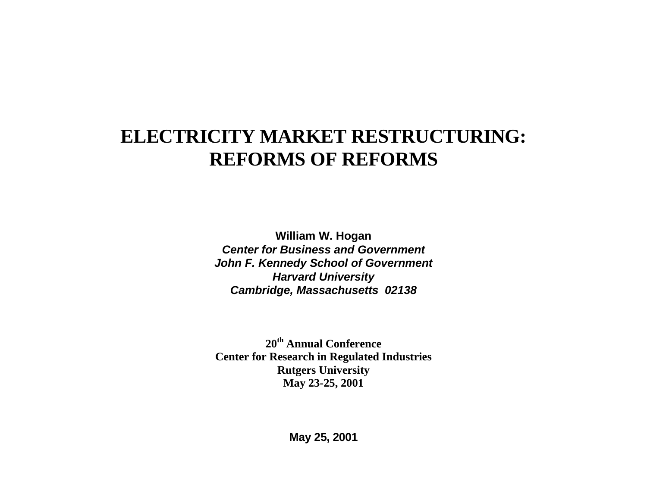# **ELECTRICITY MARKET RESTRUCTURING: REFORMS OF REFORMS**

**William W. Hogan Center for Business and GovernmentJohn F. Kennedy School of Government Harvard University Cambridge, Massachusetts 02138**

**20th Annual ConferenceCenter for Research in Regulated Industries Rutgers University May 23-25, 2001**

**May 25, 2001**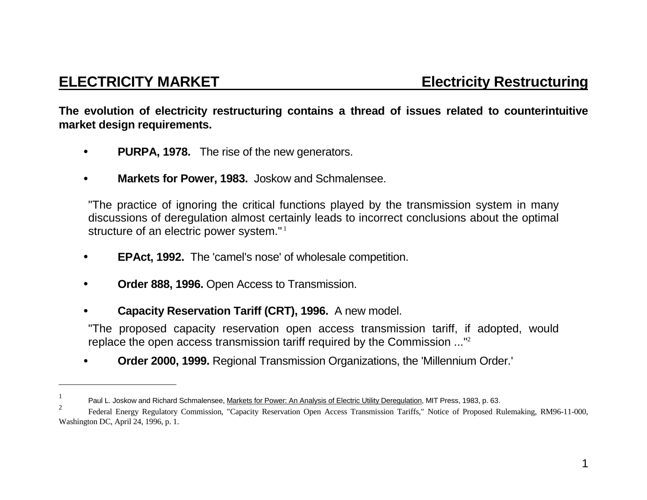**The evolution of electricity restructuring contains a thread of issues related to counterintuitive market design requirements.**

- • **PURPA, 1978.** The rise of the new generators.
- • **Markets for Power, 1983.** Joskow and Schmalensee.

"The practice of ignoring the critical functions played by the transmission system in many discussions of deregulation almost certainly leads to incorrect conclusions about the optimal structure of an electric power system."<sup>1</sup>

- • **EPAct, 1992.** The 'camel's nose' of wholesale competition.
- • **Order 888, 1996.** Open Access to Transmission.
- • **Capacity Reservation Tariff (CRT), 1996.** A new model.

"The proposed capacity reservation open access transmission tariff, if adopted, would replace the open access transmission tariff required by the Commission ..."<sup>2</sup>

• **Order 2000, 1999.** Regional Transmission Organizations, the 'Millennium Order.'

<sup>1</sup> Paul L. Joskow and Richard Schmalensee, Markets for Power: An Analysis of Electric Utility Deregulation, MIT Press, 1983, p. 63.

<sup>2</sup> Federal Energy Regulatory Commission, "Capacity Reservation Open Access Transmission Tariffs," Notice of Proposed Rulemaking, RM96-11-000, Washington DC, April 24, 1996, p. 1.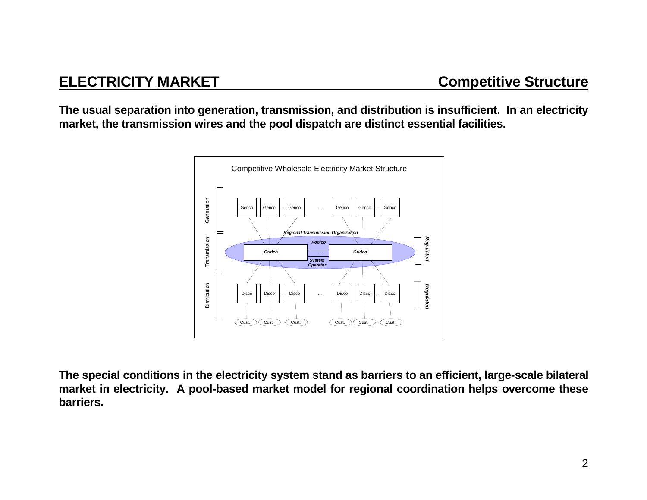**The usual separation into generation, transmission, and distribution is insufficient. In an electricity market, the transmission wires and the pool dispatch are distinct essential facilities.**



**The special conditions in the electricity system stand as barriers to an efficient, large-scale bilateral market in electricity. A pool-based market model for regional coordination helps overcome these barriers.**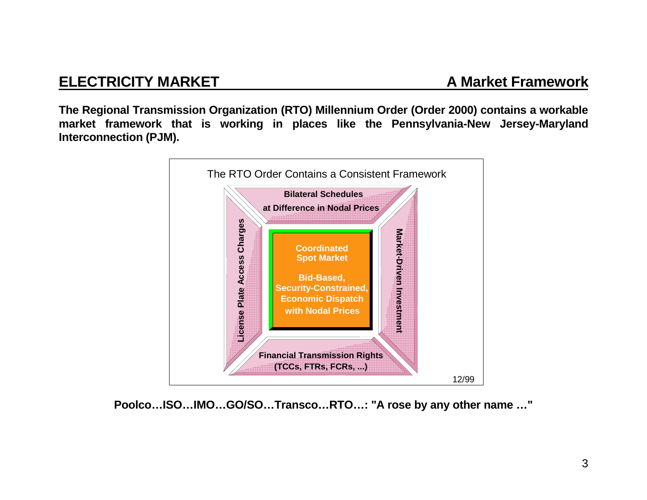**The Regional Transmission Organization (RTO) Millennium Order (Order 2000) contains a workable market framework that is working in places like the Pennsylvania-New Jersey-Maryland Interconnection (PJM).**



**Poolco…ISO…IMO…GO/SO…Transco…RTO…: "A rose by any other name …"**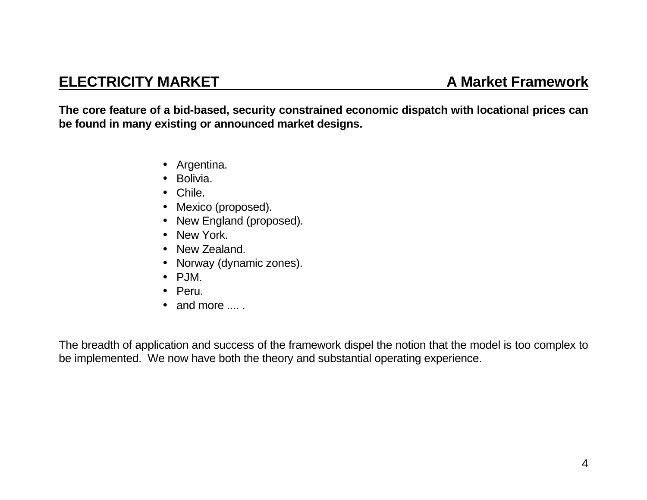# **ELECTRICITY MARKET**

**The core feature of a bid-based, security constrained economic dispatch with locational prices can be found in many existing or announced market designs.**

- Argentina.
- Bolivia.
- Chile.
- Mexico (proposed).
- New England (proposed).
- New York.
- New Zealand.
- Norway (dynamic zones).
- PJM.
- Peru.
- and more .... .

The breadth of application and success of the framework dispel the notion that the model is too complex to be implemented. We now have both the theory and substantial operating experience.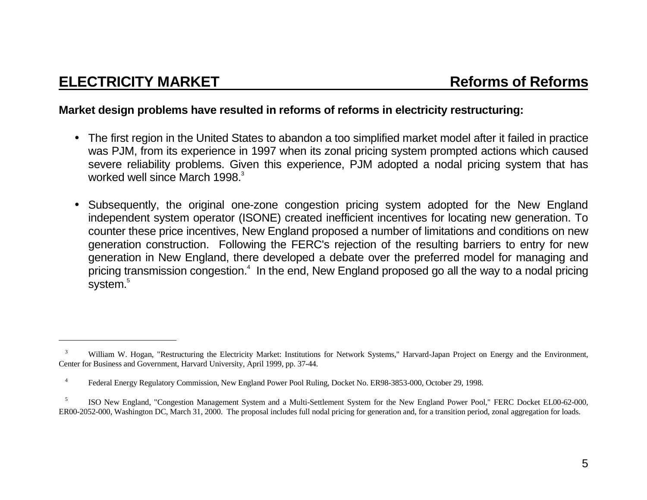#### **Market design problems have resulted in reforms of reforms in electricity restructuring:**

- The first region in the United States to abandon a too simplified market model after it failed in practice was PJM, from its experience in 1997 when its zonal pricing system prompted actions which caused severe reliability problems. Given this experience, PJM adopted a nodal pricing system that has worked well since March 1998.<sup>3</sup>
- $\bullet$  Subsequently, the original one-zone congestion pricing system adopted for the New England independent system operator (ISONE) created inefficient incentives for locating new generation. To counter these price incentives, New England proposed a number of limitations and conditions on new generation construction. Following the FERC's rejection of the resulting barriers to entry for new generation in New England, there developed a debate over the preferred model for managing and pricing transmission congestion.<sup>4</sup> In the end, New England proposed go all the way to a nodal pricing system.<sup>5</sup>

<sup>&</sup>lt;sup>3</sup> William W. Hogan, "Restructuring the Electricity Market: Institutions for Network Systems," Harvard-Japan Project on Energy and the Environment, Center for Business and Government, Harvard University, April 1999, pp. 37-44.

 <sup>4</sup>Federal Energy Regulatory Commission, New England Power Pool Ruling, Docket No. ER98-3853-000, October 29, 1998.

<sup>&</sup>lt;sup>5</sup> ISO New England, "Congestion Management System and a Multi-Settlement System for the New England Power Pool," FERC Docket EL00-62-000, ER00-2052-000, Washington DC, March 31, 2000. The proposal includes full nodal pricing for generation and, for a transition period, zonal aggregation for loads.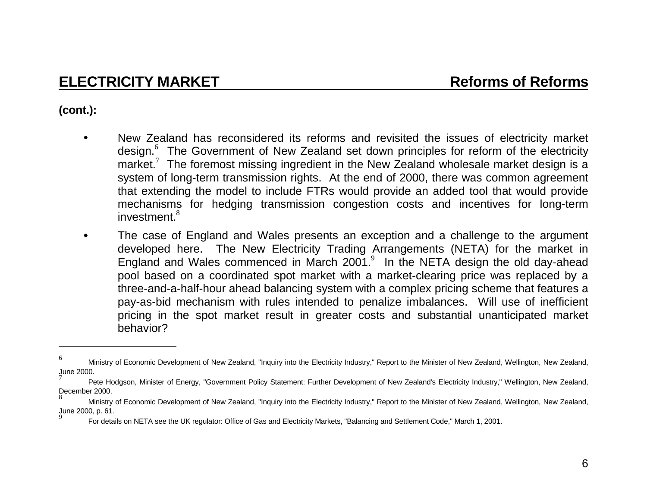### **(cont.):**

- • New Zealand has reconsidered its reforms and revisited the issues of electricity market design.<sup>6</sup> The Government of New Zealand set down principles for reform of the electricity market.<sup>7</sup> The foremost missing ingredient in the New Zealand wholesale market design is a system of long-term transmission rights. At the end of 2000, there was common agreement that extending the model to include FTRs would provide an added tool that would provide mechanisms for hedging transmission congestion costs and incentives for long-term investment.<sup>8</sup>
- • The case of England and Wales presents an exception and a challenge to the argument developed here. The New Electricity Trading Arrangements (NETA) for the market in England and Wales commenced in March 2001. $9$  In the NETA design the old day-ahead pool based on a coordinated spot market with a market-clearing price was replaced by a three-and-a-half-hour ahead balancing system with a complex pricing scheme that features a pay-as-bid mechanism with rules intended to penalize imbalances. Will use of inefficient pricing in the spot market result in greater costs and substantial unanticipated market behavior?

Ministry of Economic Development of New Zealand, "Inquiry into the Electricity Industry," Report to the Minister of New Zealand, Wellington, New Zealand, June 2000.

Pete Hodgson, Minister of Energy, "Government Policy Statement: Further Development of New Zealand's Electricity Industry," Wellington, New Zealand, December 2000.

Ministry of Economic Development of New Zealand, "Inquiry into the Electricity Industry," Report to the Minister of New Zealand, Wellington, New Zealand, June 2000, p. 61.

<sup>9</sup> For details on NETA see the UK regulator: Office of Gas and Electricity Markets, "Balancing and Settlement Code," March 1, 2001.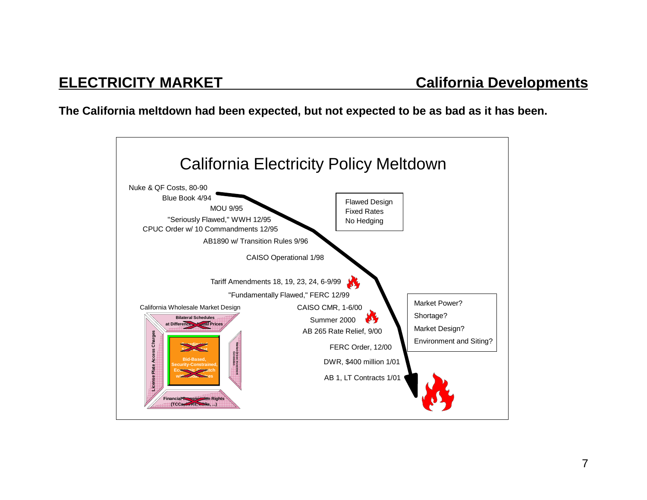**The California meltdown had been expected, but not expected to be as bad as it has been.**

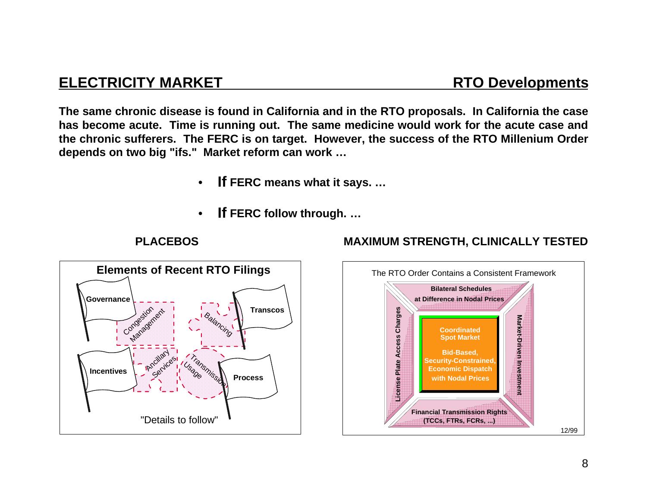## **ELECTRICITY MARKET RTO Developments**

**The same chronic disease is found in California and in the RTO proposals. In California the case has become acute. Time is running out. The same medicine would work for the acute case and the chronic sufferers. The FERC is on target. However, the success of the RTO Millenium Order depends on two big "ifs." Market reform can work …**

- **If FERC means what it says. …**
- •**If FERC follow through. …**



### **PLACEBOS MAXIMUM STRENGTH, CLINICALLY TESTED**

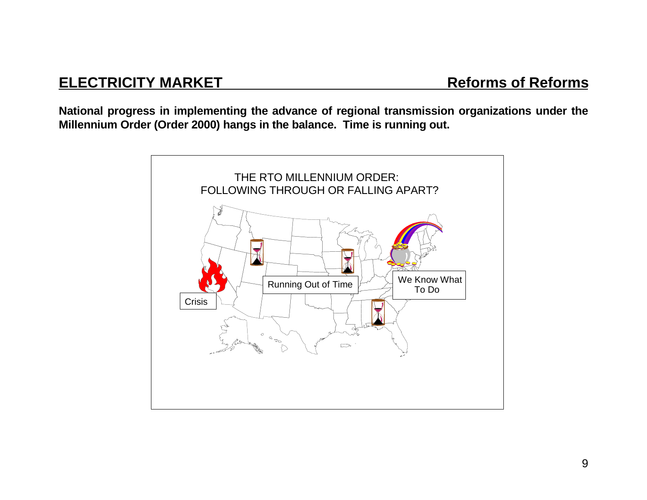# **ELECTRICITY MARKET**

**National progress in implementing the advance of regional transmission organizations under the Millennium Order (Order 2000) hangs in the balance. Time is running out.**